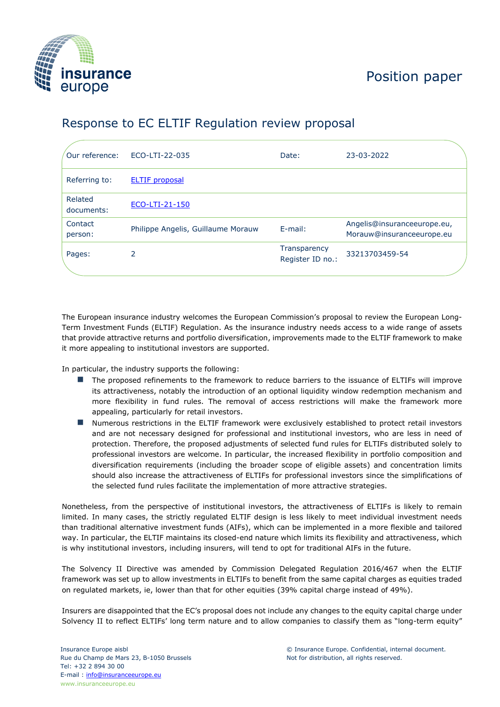

## Position paper

## Response to EC ELTIF Regulation review proposal

| Our reference:        | ECO-LTI-22-035                     | Date:                            | 23-03-2022                                               |  |
|-----------------------|------------------------------------|----------------------------------|----------------------------------------------------------|--|
| Referring to:         | <b>ELTIF proposal</b>              |                                  |                                                          |  |
| Related<br>documents: | ECO-LTI-21-150                     |                                  |                                                          |  |
| Contact<br>person:    | Philippe Angelis, Guillaume Morauw | $E$ -mail:                       | Angelis@insuranceeurope.eu,<br>Morauw@insuranceeurope.eu |  |
| Pages:                | 2                                  | Transparency<br>Register ID no.: | 33213703459-54                                           |  |
|                       |                                    |                                  |                                                          |  |

The European insurance industry welcomes the European Commission's proposal to review the European Long-Term Investment Funds (ELTIF) Regulation. As the insurance industry needs access to a wide range of assets that provide attractive returns and portfolio diversification, improvements made to the ELTIF framework to make it more appealing to institutional investors are supported.

In particular, the industry supports the following:

- The proposed refinements to the framework to reduce barriers to the issuance of ELTIFs will improve its attractiveness, notably the introduction of an optional liquidity window redemption mechanism and more flexibility in fund rules. The removal of access restrictions will make the framework more appealing, particularly for retail investors.
- Numerous restrictions in the ELTIF framework were exclusively established to protect retail investors and are not necessary designed for professional and institutional investors, who are less in need of protection. Therefore, the proposed adjustments of selected fund rules for ELTIFs distributed solely to professional investors are welcome. In particular, the increased flexibility in portfolio composition and diversification requirements (including the broader scope of eligible assets) and concentration limits should also increase the attractiveness of ELTIFs for professional investors since the simplifications of the selected fund rules facilitate the implementation of more attractive strategies.

Nonetheless, from the perspective of institutional investors, the attractiveness of ELTIFs is likely to remain limited. In many cases, the strictly regulated ELTIF design is less likely to meet individual investment needs than traditional alternative investment funds (AIFs), which can be implemented in a more flexible and tailored way. In particular, the ELTIF maintains its closed-end nature which limits its flexibility and attractiveness, which is why institutional investors, including insurers, will tend to opt for traditional AIFs in the future.

The Solvency II Directive was amended by Commission Delegated Regulation 2016/467 when the ELTIF framework was set up to allow investments in ELTIFs to benefit from the same capital charges as equities traded on regulated markets, ie, lower than that for other equities (39% capital charge instead of 49%).

Insurers are disappointed that the EC's proposal does not include any changes to the equity capital charge under Solvency II to reflect ELTIFs' long term nature and to allow companies to classify them as "long-term equity"